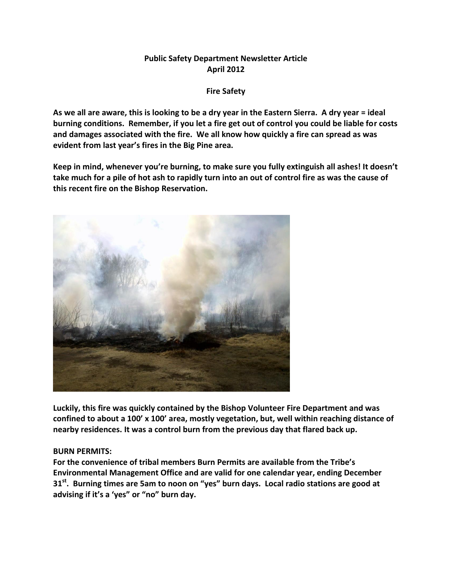## **Public Safety Department Newsletter Article April 2012**

**Fire Safety**

**As we all are aware, this is looking to be a dry year in the Eastern Sierra. A dry year = ideal burning conditions. Remember, if you let a fire get out of control you could be liable for costs and damages associated with the fire. We all know how quickly a fire can spread as was evident from last year's fires in the Big Pine area.**

**Keep in mind, whenever you're burning, to make sure you fully extinguish all ashes! It doesn't take much for a pile of hot ash to rapidly turn into an out of control fire as was the cause of this recent fire on the Bishop Reservation.**



**Luckily, this fire was quickly contained by the Bishop Volunteer Fire Department and was confined to about a 100' x 100' area, mostly vegetation, but, well within reaching distance of nearby residences. It was a control burn from the previous day that flared back up.**

## **BURN PERMITS:**

**For the convenience of tribal members Burn Permits are available from the Tribe's Environmental Management Office and are valid for one calendar year, ending December 31st. Burning times are 5am to noon on "yes" burn days. Local radio stations are good at advising if it's a 'yes" or "no" burn day.**